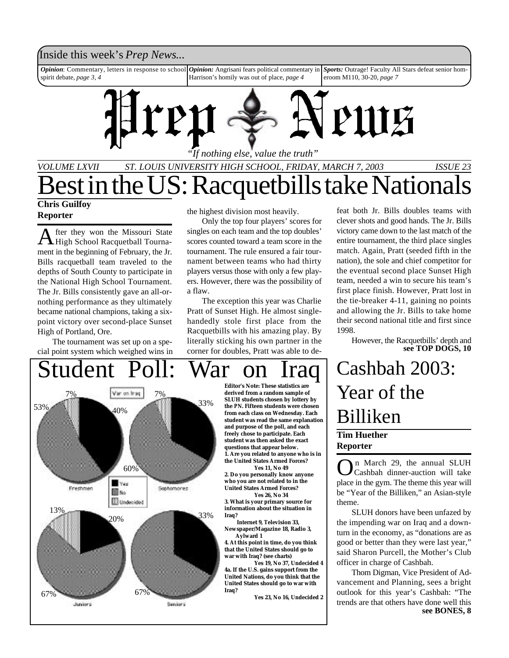## Inside this week's *Prep News*...

*Opinion*: Commentary, letters in response to school spirit debate, *page 3, 4 Opinion:* Angrisani fears political commentary in Harrison's homily was out of place, *page 4 Sports:* Outrage! Faculty All Stars defeat senior homeroom M110, 30-20, *page 7*



*VOLUME LXVII ST. LOUIS UNIVERSITY HIGH SCHOOL, FRIDAY, MARCH 7, 2003 ISSUE 23* **Chris Guilfoy** est in the US: Racquetbills take Nationa

## **Reporter**

A fter they won the Missouri State<br>High School Racquetball Tournafter they won the Missouri State ment in the beginning of February, the Jr. Bills racquetball team traveled to the depths of South County to participate in the National High School Tournament. The Jr. Bills consistently gave an all-ornothing performance as they ultimately became national champions, taking a sixpoint victory over second-place Sunset High of Portland, Ore.

The tournament was set up on a special point system which weighed wins in the highest division most heavily.

Only the top four players' scores for singles on each team and the top doubles' scores counted toward a team score in the tournament. The rule ensured a fair tournament between teams who had thirty players versus those with only a few players. However, there was the possibility of a flaw.

The exception this year was Charlie Pratt of Sunset High. He almost singlehandedly stole first place from the Racquetbills with his amazing play. By literally sticking his own partner in the corner for doubles, Pratt was able to de-



**SLUH students chosen by lottery by the** *PN***. Fifteen students were chosen from each class on Wednesday. Each student was read the same explanation 1. Are you related to anyone who is in**

**2. Do you personally know anyone who you are not related to in the United States Armed Forces?**

**3. What is your primary source for information about the situation in**

**Newspaper/Magazine 18, Radio 3,**

**4. At this point in time, do you think that the United States should go to war with Iraq? (see charts)**

**Yes 19, No 37, Undecided 4 4a. If the U.S. gains support from the United Nations, do you think that the United States should go to war with**

**Yes 23, No 16, Undecided 2**

feat both Jr. Bills doubles teams with clever shots and good hands. The Jr. Bills victory came down to the last match of the entire tournament, the third place singles match. Again, Pratt (seeded fifth in the nation), the sole and chief competitor for the eventual second place Sunset High team, needed a win to secure his team's first place finish. However, Pratt lost in the tie-breaker 4-11, gaining no points and allowing the Jr. Bills to take home their second national title and first since 1998.

However, the Racquetbills' depth and **see TOP DOGS, 10**

## **Tim Huether Reporter** Cashbah 2003: Year of the Billiken

O n March 29, the annual SLUH Cashbah dinner-auction will take place in the gym. The theme this year will be "Year of the Billiken," an Asian-style theme.

SLUH donors have been unfazed by the impending war on Iraq and a downturn in the economy, as "donations are as good or better than they were last year," said Sharon Purcell, the Mother's Club officer in charge of Cashbah.

Thom Digman, Vice President of Advancement and Planning, sees a bright outlook for this year's Cashbah: "The trends are that others have done well this **see BONES, 8**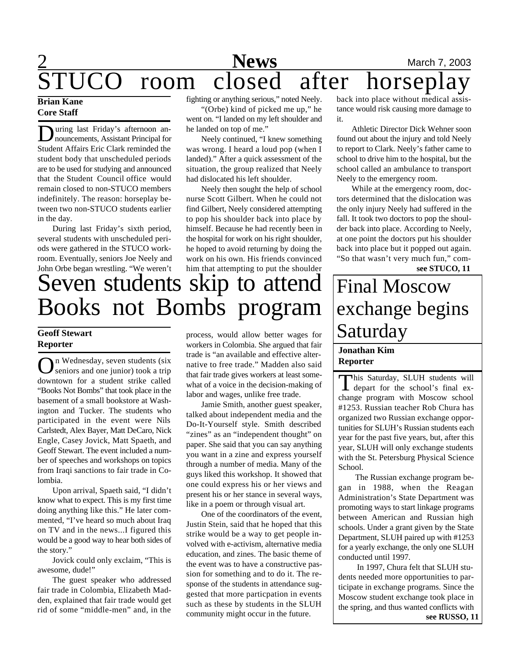# **News** March 7, 2003 JCO room closed after horseplay

## **Brian Kane Core Staff**

**D** uring last Friday's afternoon an-<br>nouncements, Assistant Principal for uring last Friday's afternoon an-Student Affairs Eric Clark reminded the student body that unscheduled periods are to be used for studying and announced that the Student Council office would remain closed to non-STUCO members indefinitely. The reason: horseplay between two non-STUCO students earlier in the day.

During last Friday's sixth period, several students with unscheduled periods were gathered in the STUCO workroom. Eventually, seniors Joe Neely and John Orbe began wrestling. "We weren't

fighting or anything serious," noted Neely.

"(Orbe) kind of picked me up," he went on. "I landed on my left shoulder and he landed on top of me."

Neely continued, "I knew something was wrong. I heard a loud pop (when I landed)." After a quick assessment of the situation, the group realized that Neely had dislocated his left shoulder.

Neely then sought the help of school nurse Scott Gilbert. When he could not find Gilbert, Neely considered attempting to pop his shoulder back into place by himself. Because he had recently been in the hospital for work on his right shoulder, he hoped to avoid returning by doing the work on his own. His friends convinced him that attempting to put the shoulder

# Seven students skip to attend Books not Bombs program

## **Geoff Stewart Reporter**

On Wednesday, seven students (six<br>
seniors and one junior) took a trip n Wednesday, seven students (six downtown for a student strike called "Books Not Bombs" that took place in the basement of a small bookstore at Washington and Tucker. The students who participated in the event were Nils Carlstedt, Alex Bayer, Matt DeCaro, Nick Engle, Casey Jovick, Matt Spaeth, and Geoff Stewart. The event included a number of speeches and workshops on topics from Iraqi sanctions to fair trade in Colombia.

Upon arrival, Spaeth said, "I didn't know what to expect. This is my first time doing anything like this." He later commented, "I've heard so much about Iraq on TV and in the news...I figured this would be a good way to hear both sides of the story."

Jovick could only exclaim, "This is awesome, dude!"

The guest speaker who addressed fair trade in Colombia, Elizabeth Madden, explained that fair trade would get rid of some "middle-men" and, in the

process, would allow better wages for workers in Colombia. She argued that fair trade is "an available and effective alternative to free trade." Madden also said that fair trade gives workers at least somewhat of a voice in the decision-making of labor and wages, unlike free trade.

Jamie Smith, another guest speaker, talked about independent media and the Do-It-Yourself style. Smith described "zines" as an "independent thought" on paper. She said that you can say anything you want in a zine and express yourself through a number of media. Many of the guys liked this workshop. It showed that one could express his or her views and present his or her stance in several ways, like in a poem or through visual art.

One of the coordinators of the event, Justin Stein, said that he hoped that this strike would be a way to get people involved with e-activism, alternative media education, and zines. The basic theme of the event was to have a constructive passion for something and to do it. The response of the students in attendance suggested that more particpation in events such as these by students in the SLUH community might occur in the future.

back into place without medical assistance would risk causing more damage to it.

Athletic Director Dick Wehner soon found out about the injury and told Neely to report to Clark. Neely's father came to school to drive him to the hospital, but the school called an ambulance to transport Neely to the emergency room.

While at the emergency room, doctors determined that the dislocation was the only injury Neely had suffered in the fall. It took two doctors to pop the shoulder back into place. According to Neely, at one point the doctors put his shoulder back into place but it popped out again. "So that wasn't very much fun," com-

**see STUCO, 11**

# Final Moscow exchange begins Saturday

## **Jonathan Kim Reporter**

This Saturday, SLUH students will his Saturday, SLUH students will change program with Moscow school #1253. Russian teacher Rob Chura has organized two Russian exchange opportunities for SLUH's Russian students each year for the past five years, but, after this year, SLUH will only exchange students with the St. Petersburg Physical Science School.

 The Russian exchange program began in 1988, when the Reagan Administration's State Department was promoting ways to start linkage programs between American and Russian high schools. Under a grant given by the State Department, SLUH paired up with #1253 for a yearly exchange, the only one SLUH conducted until 1997.

 In 1997, Chura felt that SLUH students needed more opportunities to participate in exchange programs. Since the Moscow student exchange took place in the spring, and thus wanted conflicts with **see RUSSO, 11**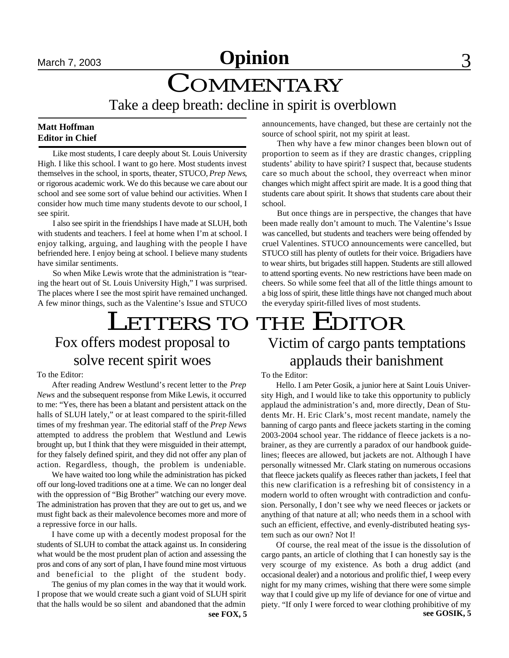# **March 7, 2003 Opinion** 3

# **COMMENTARY**

Take a deep breath: decline in spirit is overblown

## **Matt Hoffman Editor in Chief**

Like most students, I care deeply about St. Louis University High. I like this school. I want to go here. Most students invest themselves in the school, in sports, theater, STUCO, *Prep News*, or rigorous academic work. We do this because we care about our school and see some sort of value behind our activities. When I consider how much time many students devote to our school, I see spirit.

I also see spirit in the friendships I have made at SLUH, both with students and teachers. I feel at home when I'm at school. I enjoy talking, arguing, and laughing with the people I have befriended here. I enjoy being at school. I believe many students have similar sentiments.

So when Mike Lewis wrote that the administration is "tearing the heart out of St. Louis University High," I was surprised. The places where I see the most spirit have remained unchanged. A few minor things, such as the Valentine's Issue and STUCO

## LETTERS TO THE EDITOR Fox offers modest proposal to solve recent spirit woes

## To the Editor:

After reading Andrew Westlund's recent letter to the *Prep News* and the subsequent response from Mike Lewis, it occurred to me: "Yes, there has been a blatant and persistent attack on the halls of SLUH lately," or at least compared to the spirit-filled times of my freshman year. The editorial staff of the *Prep News* attempted to address the problem that Westlund and Lewis brought up, but I think that they were misguided in their attempt, for they falsely defined spirit, and they did not offer any plan of action. Regardless, though, the problem is undeniable.

We have waited too long while the administration has picked off our long-loved traditions one at a time. We can no longer deal with the oppression of "Big Brother" watching our every move. The administration has proven that they are out to get us, and we must fight back as their malevolence becomes more and more of a repressive force in our halls.

I have come up with a decently modest proposal for the students of SLUH to combat the attack against us. In considering what would be the most prudent plan of action and assessing the pros and cons of any sort of plan, I have found mine most virtuous and beneficial to the plight of the student body.

The genius of my plan comes in the way that it would work. I propose that we would create such a giant void of SLUH spirit that the halls would be so silent and abandoned that the admin

announcements, have changed, but these are certainly not the source of school spirit, not my spirit at least.

Then why have a few minor changes been blown out of proportion to seem as if they are drastic changes, crippling students' ability to have spirit? I suspect that, because students care so much about the school, they overreact when minor changes which might affect spirit are made. It is a good thing that students care about spirit. It shows that students care about their school.

But once things are in perspective, the changes that have been made really don't amount to much. The Valentine's Issue was cancelled, but students and teachers were being offended by cruel Valentines. STUCO announcements were cancelled, but STUCO still has plenty of outlets for their voice. Brigadiers have to wear shirts, but brigades still happen. Students are still allowed to attend sporting events. No new restrictions have been made on cheers. So while some feel that all of the little things amount to a big loss of spirit, these little things have not changed much about the everyday spirit-filled lives of most students.

# Victim of cargo pants temptations applauds their banishment

### To the Editor:

Hello. I am Peter Gosik, a junior here at Saint Louis University High, and I would like to take this opportunity to publicly applaud the administration's and, more directly, Dean of Students Mr. H. Eric Clark's, most recent mandate, namely the banning of cargo pants and fleece jackets starting in the coming 2003-2004 school year. The riddance of fleece jackets is a nobrainer, as they are currently a paradox of our handbook guidelines; fleeces are allowed, but jackets are not. Although I have personally witnessed Mr. Clark stating on numerous occasions that fleece jackets qualify as fleeces rather than jackets, I feel that this new clarification is a refreshing bit of consistency in a modern world to often wrought with contradiction and confusion. Personally, I don't see why we need fleeces or jackets or anything of that nature at all; who needs them in a school with such an efficient, effective, and evenly-distributed heating system such as our own? Not I!

**see FOX, 5 see GOSIK, 5** Of course, the real meat of the issue is the dissolution of cargo pants, an article of clothing that I can honestly say is the very scourge of my existence. As both a drug addict (and occasional dealer) and a notorious and prolific thief, I weep every night for my many crimes, wishing that there were some simple way that I could give up my life of deviance for one of virtue and piety. "If only I were forced to wear clothing prohibitive of my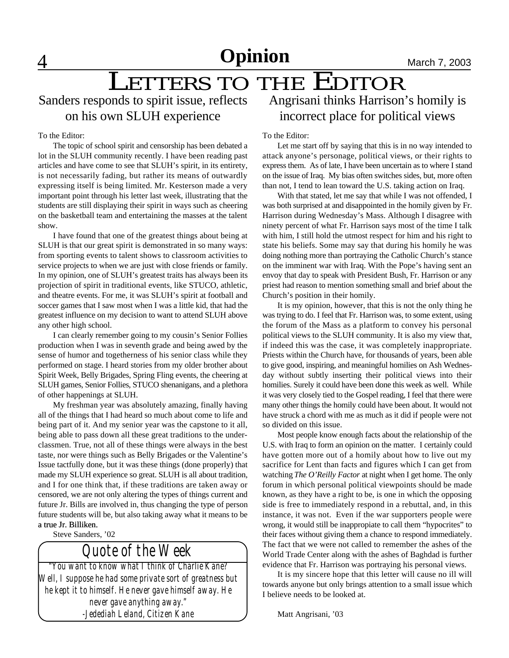## LETTERS TO THE EDITOR Sanders responds to spirit issue, reflects on his own SLUH experience

### To the Editor:

The topic of school spirit and censorship has been debated a lot in the SLUH community recently. I have been reading past articles and have come to see that SLUH's spirit, in its entirety, is not necessarily fading, but rather its means of outwardly expressing itself is being limited. Mr. Kesterson made a very important point through his letter last week, illustrating that the students are still displaying their spirit in ways such as cheering on the basketball team and entertaining the masses at the talent show.

I have found that one of the greatest things about being at SLUH is that our great spirit is demonstrated in so many ways: from sporting events to talent shows to classroom activities to service projects to when we are just with close friends or family. In my opinion, one of SLUH's greatest traits has always been its projection of spirit in traditional events, like STUCO, athletic, and theatre events. For me, it was SLUH's spirit at football and soccer games that I saw most when I was a little kid, that had the greatest influence on my decision to want to attend SLUH above any other high school.

I can clearly remember going to my cousin's Senior Follies production when I was in seventh grade and being awed by the sense of humor and togetherness of his senior class while they performed on stage. I heard stories from my older brother about Spirit Week, Belly Brigades, Spring Fling events, the cheering at SLUH games, Senior Follies, STUCO shenanigans, and a plethora of other happenings at SLUH.

My freshman year was absolutely amazing, finally having all of the things that I had heard so much about come to life and being part of it. And my senior year was the capstone to it all, being able to pass down all these great traditions to the underclassmen. True, not all of these things were always in the best taste, nor were things such as Belly Brigades or the Valentine's Issue tactfully done, but it was these things (done properly) that made my SLUH experience so great. SLUH is all about tradition, and I for one think that, if these traditions are taken away or censored, we are not only altering the types of things current and future Jr. Bills are involved in, thus changing the type of person future students will be, but also taking away what it means to be a true Jr. Billiken.

Steve Sanders, '02

## *Quote of the Week*

*"You want to know what I think of Charlie Kane? Well, I suppose he had some private sort of greatness but he kept it to himself. He never gave himself away. He never gave anything away." -Jedediah Leland, Citizen Kane*

Angrisani thinks Harrison's homily is incorrect place for political views

### To the Editor:

Let me start off by saying that this is in no way intended to attack anyone's personage, political views, or their rights to express them. As of late, I have been uncertain as to where I stand on the issue of Iraq. My bias often switches sides, but, more often than not, I tend to lean toward the U.S. taking action on Iraq.

With that stated, let me say that while I was not offended, I was both surprised at and disappointed in the homily given by Fr. Harrison during Wednesday's Mass. Although I disagree with ninety percent of what Fr. Harrison says most of the time I talk with him, I still hold the utmost respect for him and his right to state his beliefs. Some may say that during his homily he was doing nothing more than portraying the Catholic Church's stance on the imminent war with Iraq. With the Pope's having sent an envoy that day to speak with President Bush, Fr. Harrison or any priest had reason to mention something small and brief about the Church's position in their homily.

It is my opinion, however, that this is not the only thing he was trying to do. I feel that Fr. Harrison was, to some extent, using the forum of the Mass as a platform to convey his personal political views to the SLUH community. It is also my view that, if indeed this was the case, it was completely inappropriate. Priests within the Church have, for thousands of years, been able to give good, inspiring, and meaningful homilies on Ash Wednesday without subtly inserting their political views into their homilies. Surely it could have been done this week as well. While it was very closely tied to the Gospel reading, I feel that there were many other things the homily could have been about. It would not have struck a chord with me as much as it did if people were not so divided on this issue.

Most people know enough facts about the relationship of the U.S. with Iraq to form an opinion on the matter. I certainly could have gotten more out of a homily about how to live out my sacrifice for Lent than facts and figures which I can get from watching *The O'Reilly Factor* at night when I get home. The only forum in which personal political viewpoints should be made known, as they have a right to be, is one in which the opposing side is free to immediately respond in a rebuttal, and, in this instance, it was not. Even if the war supporters people were wrong, it would still be inappropiate to call them "hypocrites" to their faces without giving them a chance to respond immediately. The fact that we were not called to remember the ashes of the World Trade Center along with the ashes of Baghdad is further evidence that Fr. Harrison was portraying his personal views.

It is my sincere hope that this letter will cause no ill will towards anyone but only brings attention to a small issue which I believe needs to be looked at.

Matt Angrisani, '03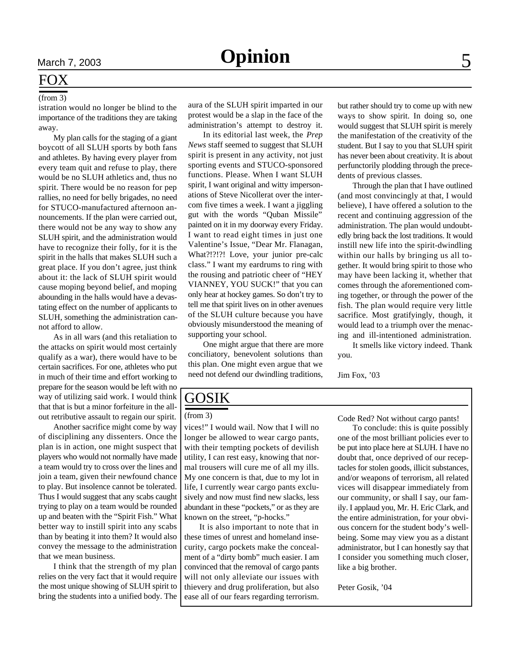## FOX  $(from 3)$

istration would no longer be blind to the importance of the traditions they are taking away.

My plan calls for the staging of a giant boycott of all SLUH sports by both fans and athletes. By having every player from every team quit and refuse to play, there would be no SLUH athletics and, thus no spirit. There would be no reason for pep rallies, no need for belly brigades, no need for STUCO-manufactured afternoon announcements. If the plan were carried out, there would not be any way to show any SLUH spirit, and the administration would have to recognize their folly, for it is the spirit in the halls that makes SLUH such a great place. If you don't agree, just think about it: the lack of SLUH spirit would cause moping beyond belief, and moping abounding in the halls would have a devastating effect on the number of applicants to SLUH, something the administration cannot afford to allow.

As in all wars (and this retaliation to the attacks on spirit would most certainly qualify as a war), there would have to be certain sacrifices. For one, athletes who put in much of their time and effort working to prepare for the season would be left with no way of utilizing said work. I would think that that is but a minor forfeiture in the allout retributive assault to regain our spirit.

Another sacrifice might come by way of disciplining any dissenters. Once the plan is in action, one might suspect that players who would not normally have made a team would try to cross over the lines and join a team, given their newfound chance to play. But insolence cannot be tolerated. Thus I would suggest that any scabs caught trying to play on a team would be rounded up and beaten with the "Spirit Fish." What better way to instill spirit into any scabs than by beating it into them? It would also convey the message to the administration that we mean business.

I think that the strength of my plan relies on the very fact that it would require the most unique showing of SLUH spirit to bring the students into a unified body. The aura of the SLUH spirit imparted in our protest would be a slap in the face of the administration's attempt to destroy it.

In its editorial last week, the *Prep News* staff seemed to suggest that SLUH spirit is present in any activity, not just sporting events and STUCO-sponsored functions. Please. When I want SLUH spirit, I want original and witty impersonations of Steve Nicollerat over the intercom five times a week. I want a jiggling gut with the words "Quban Missile" painted on it in my doorway every Friday. I want to read eight times in just one Valentine's Issue, "Dear Mr. Flanagan, What?!?!?! Love, your junior pre-calc class." I want my eardrums to ring with the rousing and patriotic cheer of "HEY VIANNEY, YOU SUCK!" that you can only hear at hockey games. So don't try to tell me that spirit lives on in other avenues of the SLUH culture because you have obviously misunderstood the meaning of supporting your school.

One might argue that there are more conciliatory, benevolent solutions than this plan. One might even argue that we need not defend our dwindling traditions,

but rather should try to come up with new ways to show spirit. In doing so, one would suggest that SLUH spirit is merely the manifestation of the creativity of the student. But I say to you that SLUH spirit has never been about creativity. It is about perfunctorily plodding through the precedents of previous classes.

Through the plan that I have outlined (and most convincingly at that, I would believe), I have offered a solution to the recent and continuing aggression of the administration. The plan would undoubtedly bring back the lost traditions. It would instill new life into the spirit-dwindling within our halls by bringing us all together. It would bring spirit to those who may have been lacking it, whether that comes through the aforementioned coming together, or through the power of the fish. The plan would require very little sacrifice. Most gratifyingly, though, it would lead to a triumph over the menacing and ill-intentioned administration.

It smells like victory indeed. Thank you.

Jim Fox, '03

## GOSIK

### (from 3)

vices!" I would wail. Now that I will no longer be allowed to wear cargo pants, with their tempting pockets of devilish utility, I can rest easy, knowing that normal trousers will cure me of all my ills. My one concern is that, due to my lot in life, I currently wear cargo pants exclusively and now must find new slacks, less abundant in these "pockets," or as they are known on the street, "p-hocks."

It is also important to note that in these times of unrest and homeland insecurity, cargo pockets make the concealment of a "dirty bomb" much easier. I am convinced that the removal of cargo pants will not only alleviate our issues with thievery and drug proliferation, but also ease all of our fears regarding terrorism. Code Red? Not without cargo pants!

To conclude: this is quite possibly one of the most brilliant policies ever to be put into place here at SLUH. I have no doubt that, once deprived of our receptacles for stolen goods, illicit substances, and/or weapons of terrorism, all related vices will disappear immediately from our community, or shall I say, our family. I applaud you, Mr. H. Eric Clark, and the entire administration, for your obvious concern for the student body's wellbeing. Some may view you as a distant administrator, but I can honestly say that I consider you something much closer, like a big brother.

Peter Gosik, '04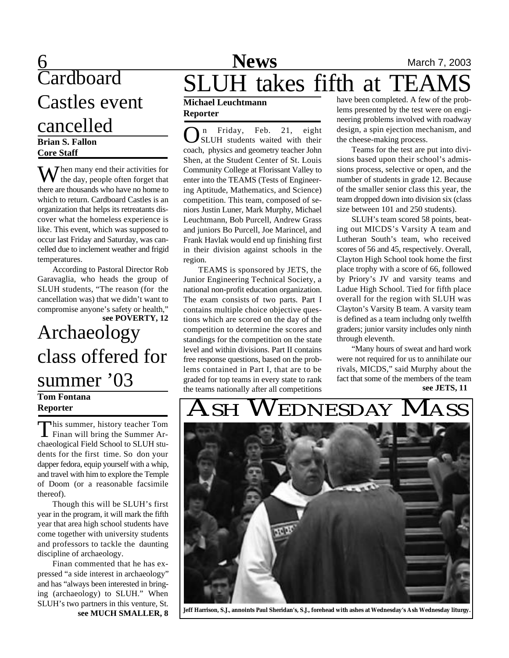# Cardboard Castles event cancelled

## **Brian S. Fallon Core Staff**

 $M$ hen many end their activities for the day, people often forget that there are thousands who have no home to which to return. Cardboard Castles is an organization that helps its retreatants discover what the homeless experience is like. This event, which was supposed to occur last Friday and Saturday, was cancelled due to inclement weather and frigid temperatures.

According to Pastoral Director Rob Garavaglia, who heads the group of SLUH students, "The reason (for the cancellation was) that we didn't want to compromise anyone's safety or health," **see POVERTY, 12**

# Archaeology class offered for summer '03

## **Tom Fontana Reporter**

This summer, history teacher Tom<br>Finan will bring the Summer Arhis summer, history teacher Tom chaeological Field School to SLUH students for the first time. So don your dapper fedora, equip yourself with a whip, and travel with him to explore the Temple of Doom (or a reasonable facsimile thereof).

Though this will be SLUH's first year in the program, it will mark the fifth year that area high school students have come together with university students and professors to tackle the daunting discipline of archaeology.

Finan commented that he has expressed "a side interest in archaeology" and has "always been interested in bringing (archaeology) to SLUH." When SLUH's two partners in this venture, St. **see MUCH SMALLER, 8**

# 6 **News** March 7, 2003 SLUH takes fifth at TEAI

## **Michael Leuchtmann Reporter**

**O**n Friday, Feb. 21, eight SLUH students waited with their coach, physics and geometry teacher John n Friday, Feb. 21, eight SLUH students waited with their Shen, at the Student Center of St. Louis Community College at Florissant Valley to enter into the TEAMS (Tests of Engineering Aptitude, Mathematics, and Science) competition. This team, composed of seniors Justin Luner, Mark Murphy, Michael Leuchtmann, Bob Purcell, Andrew Grass and juniors Bo Purcell, Joe Marincel, and Frank Havlak would end up finishing first in their division against schools in the region.

TEAMS is sponsored by JETS, the Junior Engineering Technical Society, a national non-profit education organization. The exam consists of two parts. Part I contains multiple choice objective questions which are scored on the day of the competition to determine the scores and standings for the competition on the state level and within divisions. Part II contains free response questions, based on the problems contained in Part I, that are to be graded for top teams in every state to rank the teams nationally after all competitions

have been completed. A few of the problems presented by the test were on engineering problems involved with roadway design, a spin ejection mechanism, and the cheese-making process.

Teams for the test are put into divisions based upon their school's admissions process, selective or open, and the number of students in grade 12. Because of the smaller senior class this year, the team dropped down into division six (class size between 101 and 250 students).

SLUH's team scored 58 points, beating out MICDS's Varsity A team and Lutheran South's team, who received scores of 56 and 45, respectively. Overall, Clayton High School took home the first place trophy with a score of 66, followed by Priory's JV and varsity teams and Ladue High School. Tied for fifth place overall for the region with SLUH was Clayton's Varsity B team. A varsity team is defined as a team includng only twelfth graders; junior varsity includes only ninth through eleventh.

"Many hours of sweat and hard work were not required for us to annihilate our rivals, MICDS," said Murphy about the fact that some of the members of the team **see JETS, 11**

# EDNESDAY



**Jeff Harrison, S.J., annoints Paul Sheridan's, S.J., forehead with ashes at Wednesday's Ash Wednesday liturgy.**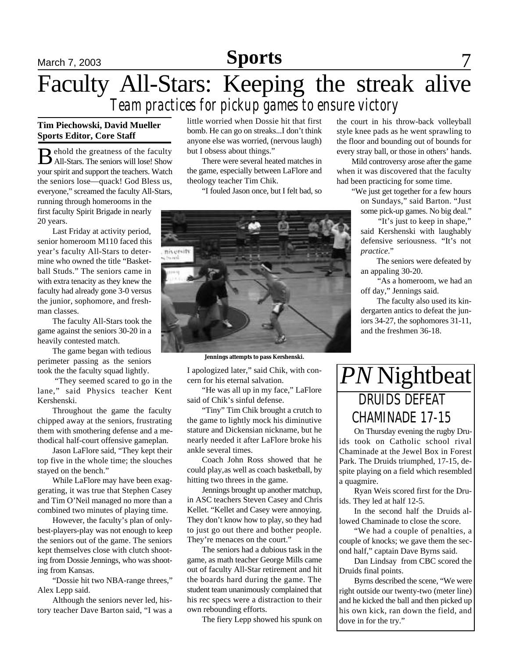## **Sports**

# March 7, 2003 **Sports** 7 Faculty All-Stars: Keeping the streak alive *Team practices for pickup games to ensure victory*

## **Tim Piechowski, David Mueller Sports Editor, Core Staff**

B All-Stars. The seniors will lose! Show ehold the greatness of the faculty your spirit and support the teachers. Watch the seniors lose—quack! God Bless us, everyone," screamed the faculty All-Stars, running through homerooms in the first faculty Spirit Brigade in nearly 20 years.

Last Friday at activity period, senior homeroom M110 faced this year's faculty All-Stars to determine who owned the title "Basketball Studs." The seniors came in with extra tenacity as they knew the faculty had already gone 3-0 versus the junior, sophomore, and freshman classes.

The faculty All-Stars took the game against the seniors 30-20 in a heavily contested match.

The game began with tedious perimeter passing as the seniors took the the faculty squad lightly.

 "They seemed scared to go in the lane," said Physics teacher Kent Kershenski.

Throughout the game the faculty chipped away at the seniors, frustrating them with smothering defense and a methodical half-court offensive gameplan.

Jason LaFlore said, "They kept their top five in the whole time; the slouches stayed on the bench."

While LaFlore may have been exaggerating, it was true that Stephen Casey and Tim O'Neil managed no more than a combined two minutes of playing time.

However, the faculty's plan of onlybest-players-play was not enough to keep the seniors out of the game. The seniors kept themselves close with clutch shooting from Dossie Jennings, who was shooting from Kansas.

"Dossie hit two NBA-range threes," Alex Lepp said.

Although the seniors never led, history teacher Dave Barton said, "I was a little worried when Dossie hit that first bomb. He can go on streaks...I don't think anyone else was worried, (nervous laugh) but I obsess about things."

There were several heated matches in the game, especially between LaFlore and theology teacher Tim Chik.

"I fouled Jason once, but I felt bad, so



**Jennings attempts to pass Kershenski.**

I apologized later," said Chik, with concern for his eternal salvation.

"He was all up in my face," LaFlore said of Chik's sinful defense.

"Tiny" Tim Chik brought a crutch to the game to lightly mock his diminutive stature and Dickensian nickname, but he nearly needed it after LaFlore broke his ankle several times.

Coach John Ross showed that he could play,as well as coach basketball, by hitting two threes in the game.

Jennings brought up another matchup, in ASC teachers Steven Casey and Chris Kellet. "Kellet and Casey were annoying. They don't know how to play, so they had to just go out there and bother people. They're menaces on the court."

The seniors had a dubious task in the game, as math teacher George Mills came out of faculty All-Star retirement and hit the boards hard during the game. The student team unanimously complained that his rec specs were a distraction to their own rebounding efforts.

The fiery Lepp showed his spunk on

the court in his throw-back volleyball style knee pads as he went sprawling to the floor and bounding out of bounds for every stray ball, or those in others' hands.

Mild controversy arose after the game when it was discovered that the faculty had been practicing for some time.

"We just get together for a few hours

on Sundays," said Barton. "Just some pick-up games. No big deal." "It's just to keep in shape,"

said Kershenski with laughably defensive seriousness. "It's not *practice*."

 The seniors were defeated by an appaling 30-20.

 "As a homeroom, we had an off day," Jennings said.

 The faculty also used its kindergarten antics to defeat the juniors 34-27, the sophomores 31-11, and the freshmen 36-18.

# *PN* Nightbeat DRUIDS DEFEAT CHAMINADE 17-15

On Thursday evening the rugby Druids took on Catholic school rival Chaminade at the Jewel Box in Forest Park. The Druids triumphed, 17-15, despite playing on a field which resembled a quagmire.

Ryan Weis scored first for the Druids. They led at half 12-5.

In the second half the Druids allowed Chaminade to close the score.

"We had a couple of penalties, a couple of knocks; we gave them the second half," captain Dave Byrns said.

Dan Lindsay from CBC scored the Druids final points.

Byrns described the scene, "We were right outside our twenty-two (meter line) and he kicked the ball and then picked up his own kick, ran down the field, and dove in for the try."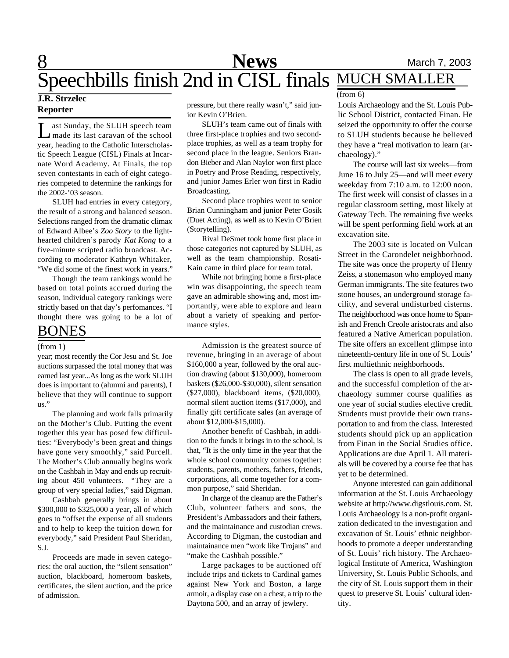# **8** Mews March 7, 2003 Speechbills finish 2nd in CISL finals MUCH SMALLER

## **J.R. Strzelec Reporter**

L ast Sunday, the SLUH speech team made its last caravan of the school year, heading to the Catholic Interscholastic Speech League (CISL) Finals at Incarnate Word Academy. At Finals, the top seven contestants in each of eight categories competed to determine the rankings for the 2002-'03 season.

SLUH had entries in every category, the result of a strong and balanced season. Selections ranged from the dramatic climax of Edward Albee's *Zoo Story* to the lighthearted children's parody *Kat Kong* to a five-minute scripted radio broadcast. According to moderator Kathryn Whitaker, "We did some of the finest work in years."

Though the team rankings would be based on total points accrued during the season, individual category rankings were strictly based on that day's perfomances. "I thought there was going to be a lot of

## BONES

year; most recently the Cor Jesu and St. Joe auctions surpassed the total money that was earned last year...As long as the work SLUH does is important to (alumni and parents), I believe that they will continue to support us."

The planning and work falls primarily on the Mother's Club. Putting the event together this year has posed few difficulties: "Everybody's been great and things have gone very smoothly," said Purcell. The Mother's Club annually begins work on the Cashbah in May and ends up recruiting about 450 volunteers. "They are a group of very special ladies," said Digman.

Cashbah generally brings in about \$300,000 to \$325,000 a year, all of which goes to "offset the expense of all students and to help to keep the tuition down for everybody," said President Paul Sheridan, S.J.

Proceeds are made in seven categories: the oral auction, the "silent sensation" auction, blackboard, homeroom baskets, certificates, the silent auction, and the price of admission.

pressure, but there really wasn't," said junior Kevin O'Brien.

SLUH's team came out of finals with three first-place trophies and two secondplace trophies, as well as a team trophy for second place in the league. Seniors Brandon Bieber and Alan Naylor won first place in Poetry and Prose Reading, respectively, and junior James Erler won first in Radio Broadcasting.

Second place trophies went to senior Brian Cunningham and junior Peter Gosik (Duet Acting), as well as to Kevin O'Brien (Storytelling).

Rival DeSmet took home first place in those categories not captured by SLUH, as well as the team championship. Rosati-Kain came in third place for team total.

While not bringing home a first-place win was disappointing, the speech team gave an admirable showing and, most importantly, were able to explore and learn about a variety of speaking and performance styles.

(from 1) Admission is the greatest source of revenue, bringing in an average of about \$160,000 a year, followed by the oral auction drawing (about \$130,000), homeroom baskets (\$26,000-\$30,000), silent sensation (\$27,000), blackboard items, (\$20,000), normal silent auction items (\$17,000), and finally gift certificate sales (an average of about \$12,000-\$15,000).

Another benefit of Cashbah, in addition to the funds it brings in to the school, is that, "It is the only time in the year that the whole school community comes together: students, parents, mothers, fathers, friends, corporations, all come together for a common purpose," said Sheridan.

In charge of the cleanup are the Father's Club, volunteer fathers and sons, the President's Ambassadors and their fathers, and the maintainance and custodian crews. According to Digman, the custodian and maintainance men "work like Trojans" and "make the Cashbah possible."

Large packages to be auctioned off include trips and tickets to Cardinal games against New York and Boston, a large armoir, a display case on a chest, a trip to the Daytona 500, and an array of jewlery.

## (from 6)

Louis Archaeology and the St. Louis Public School District, contacted Finan. He seized the opportunity to offer the course to SLUH students because he believed they have a "real motivation to learn (archaeology)."

The course will last six weeks—from June 16 to July 25—and will meet every weekday from 7:10 a.m. to 12:00 noon. The first week will consist of classes in a regular classroom setting, most likely at Gateway Tech. The remaining five weeks will be spent performing field work at an excavation site.

The 2003 site is located on Vulcan Street in the Carondelet neighborhood. The site was once the property of Henry Zeiss, a stonemason who employed many German immigrants. The site features two stone houses, an underground storage facility, and several undisturbed cisterns. The neighborhood was once home to Spanish and French Creole aristocrats and also featured a Native American population. The site offers an excellent glimpse into nineteenth-century life in one of St. Louis' first multiethnic neighborhoods.

The class is open to all grade levels, and the successful completion of the archaeology summer course qualifies as one year of social studies elective credit. Students must provide their own transportation to and from the class. Interested students should pick up an application from Finan in the Social Studies office. Applications are due April 1. All materials will be covered by a course fee that has yet to be determined.

Anyone interested can gain additional information at the St. Louis Archaeology website at http://www.digstlouis.com. St. Louis Archaeology is a non-profit organization dedicated to the investigation and excavation of St. Louis' ethnic neighborhoods to promote a deeper understanding of St. Louis' rich history. The Archaeological Institute of America, Washington University, St. Louis Public Schools, and the city of St. Louis support them in their quest to preserve St. Louis' cultural identity.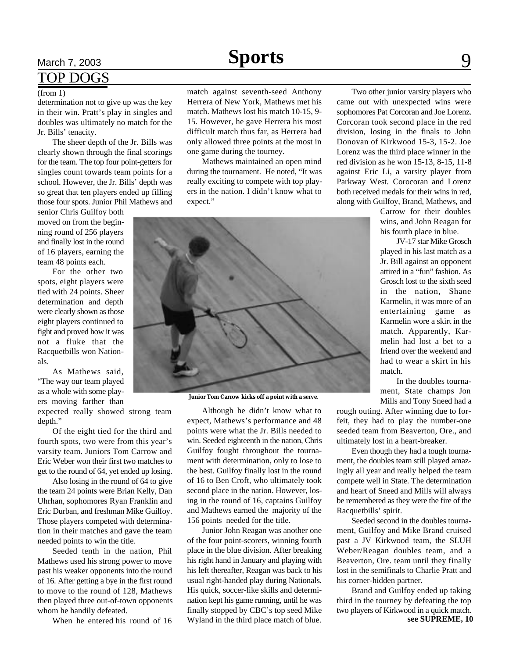## <u>March 7, 2003 **Sports** 9</u> TOP DOGS

determination not to give up was the key in their win. Pratt's play in singles and doubles was ultimately no match for the Jr. Bills' tenacity.

The sheer depth of the Jr. Bills was clearly shown through the final scorings for the team. The top four point-getters for singles count towards team points for a school. However, the Jr. Bills' depth was so great that ten players ended up filling those four spots. Junior Phil Mathews and

senior Chris Guilfoy both moved on from the beginning round of 256 players and finally lost in the round of 16 players, earning the team 48 points each.

For the other two spots, eight players were tied with 24 points. Sheer determination and depth were clearly shown as those eight players continued to fight and proved how it was not a fluke that the Racquetbills won Nationals.

As Mathews said, "The way our team played as a whole with some players moving farther than

expected really showed strong team depth."

Of the eight tied for the third and fourth spots, two were from this year's varsity team. Juniors Tom Carrow and Eric Weber won their first two matches to get to the round of 64, yet ended up losing.

Also losing in the round of 64 to give the team 24 points were Brian Kelly, Dan Uhrhan, sophomores Ryan Franklin and Eric Durban, and freshman Mike Guilfoy. Those players competed with determination in their matches and gave the team needed points to win the title.

Seeded tenth in the nation, Phil Mathews used his strong power to move past his weaker opponents into the round of 16. After getting a bye in the first round to move to the round of 128, Mathews then played three out-of-town opponents whom he handily defeated.

When he entered his round of 16

(from 1) match against seventh-seed Anthony Herrera of New York, Mathews met his match. Mathews lost his match 10-15, 9- 15. However, he gave Herrera his most difficult match thus far, as Herrera had only allowed three points at the most in one game during the tourney.

Mathews maintained an open mind during the tournament. He noted, "It was really exciting to compete with top players in the nation. I didn't know what to expect."



**Junior Tom Carrow kicks off a point with a serve.**

Although he didn't know what to expect, Mathews's performance and 48 points were what the Jr. Bills needed to win. Seeded eighteenth in the nation, Chris Guilfoy fought throughout the tournament with determination, only to lose to the best. Guilfoy finally lost in the round of 16 to Ben Croft, who ultimately took second place in the nation. However, losing in the round of 16, captains Guilfoy and Mathews earned the majority of the 156 points needed for the title.

Junior John Reagan was another one of the four point-scorers, winning fourth place in the blue division. After breaking his right hand in January and playing with his left thereafter, Reagan was back to his usual right-handed play during Nationals. His quick, soccer-like skills and determination kept his game running, until he was finally stopped by CBC's top seed Mike Wyland in the third place match of blue.

Two other junior varsity players who came out with unexpected wins were sophomores Pat Corcoran and Joe Lorenz. Corcoran took second place in the red division, losing in the finals to John Donovan of Kirkwood 15-3, 15-2. Joe Lorenz was the third place winner in the red division as he won 15-13, 8-15, 11-8 against Eric Li, a varsity player from Parkway West. Corocoran and Lorenz both received medals for their wins in red, along with Guilfoy, Brand, Mathews, and

> Carrow for their doubles wins, and John Reagan for his fourth place in blue.

> JV-17 star Mike Grosch played in his last match as a Jr. Bill against an opponent attired in a "fun" fashion. As Grosch lost to the sixth seed in the nation, Shane Karmelin, it was more of an entertaining game as Karmelin wore a skirt in the match. Apparently, Karmelin had lost a bet to a friend over the weekend and had to wear a skirt in his match.

> In the doubles tournament, State champs Jon Mills and Tony Sneed had a

rough outing. After winning due to forfeit, they had to play the number-one seeded team from Beaverton, Ore., and ultimately lost in a heart-breaker.

Even though they had a tough tournament, the doubles team still played amazingly all year and really helped the team compete well in State. The determination and heart of Sneed and Mills will always be remembered as they were the fire of the Racquetbills' spirit.

Seeded second in the doubles tournament, Guilfoy and Mike Brand cruised past a JV Kirkwood team, the SLUH Weber/Reagan doubles team, and a Beaverton, Ore. team until they finally lost in the semifinals to Charlie Pratt and his corner-hidden partner.

Brand and Guilfoy ended up taking third in the tourney by defeating the top two players of Kirkwood in a quick match. **see SUPREME, 10**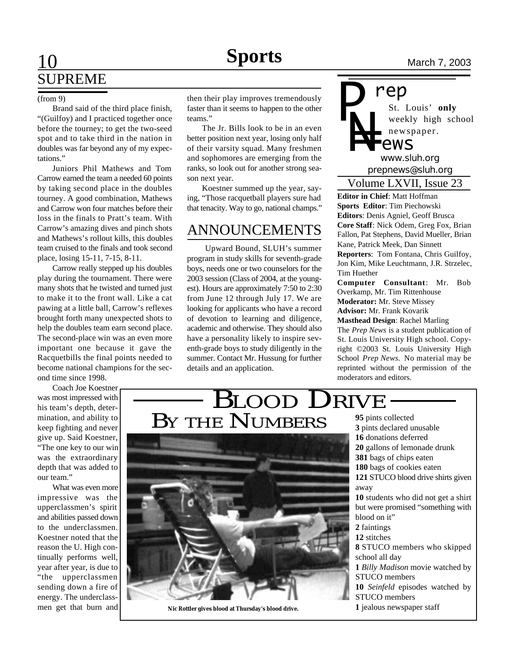# 10 **News** March 7, 2003 SUPREME

### (from 9)

Brand said of the third place finish, "(Guilfoy) and I practiced together once before the tourney; to get the two-seed spot and to take third in the nation in doubles was far beyond any of my expectations."

Juniors Phil Mathews and Tom Carrow earned the team a needed 60 points by taking second place in the doubles tourney. A good combination, Mathews and Carrow won four matches before their loss in the finals to Pratt's team. With Carrow's amazing dives and pinch shots and Mathews's rollout kills, this doubles team cruised to the finals and took second place, losing 15-11, 7-15, 8-11.

Carrow really stepped up his doubles play during the tournament. There were many shots that he twisted and turned just to make it to the front wall. Like a cat pawing at a little ball, Carrow's reflexes brought forth many unexpected shots to help the doubles team earn second place. The second-place win was an even more important one because it gave the Racquetbills the final points needed to become national champions for the second time since 1998.

Coach Joe Koestner was most impressed with his team's depth, determination, and ability to keep fighting and never give up. Said Koestner, "The one key to our win was the extraordinary depth that was added to our team."

What was even more impressive was the upperclassmen's spirit and abilities passed down to the underclassmen. Koestner noted that the reason the U. High continually performs well, year after year, is due to "the upperclassmen sending down a fire of energy. The underclassmen get that burn and then their play improves tremendously faster than it seems to happen to the other teams."

The Jr. Bills look to be in an even better position next year, losing only half of their varsity squad. Many freshmen and sophomores are emerging from the ranks, so look out for another strong season next year.

Koestner summed up the year, saying, "Those racquetball players sure had that tenacity. Way to go, national champs."

## ANNOUNCEMENTS

 Upward Bound, SLUH's summer program in study skills for seventh-grade boys, needs one or two counselors for the 2003 session (Class of 2004, at the youngest). Hours are approximately 7:50 to 2:30 from June 12 through July 17. We are looking for applicants who have a record of devotion to learning and diligence, academic and otherwise. They should also have a personality likely to inspire seventh-grade boys to study diligently in the summer. Contact Mr. Hussung for further details and an application.

BY THE NUMBERS

BLOOD DRIVE

St. Louis' **only** weekly high school newspaper. *prepnews@sluh.org P N= rep www.sluh.org ews*

Volume LXVII, Issue 23

**Editor in Chief**: Matt Hoffman **Sports Editor**: Tim Piechowski **Editors**: Denis Agniel, Geoff Brusca **Core Staff**: Nick Odem, Greg Fox, Brian Fallon, Pat Stephens, David Mueller, Brian Kane, Patrick Meek, Dan Sinnett **Reporters**: Tom Fontana, Chris Guilfoy, Jon Kim, Mike Leuchtmann, J.R. Strzelec, Tim Huether **Computer Consultant**: Mr. Bob

Overkamp, Mr. Tim Rittenhouse **Moderator:** Mr. Steve Missey **Advisor:** Mr. Frank Kovarik

**Masthead Design**: Rachel Marling The *Prep News* is a student publication of St. Louis University High school. Copyright ©2003 St. Louis University High School *Prep News.* No material may be reprinted without the permission of the moderators and editors.

**Nic Rottler gives blood at Thursday's blood drive.**

 pints collected pints declared unusable donations deferred gallons of lemonade drunk bags of chips eaten bags of cookies eaten STUCO blood drive shirts given away students who did not get a shirt but were promised "something with blood on it" faintings **12** stitches STUCO members who skipped school all day *Billy Madison* movie watched by STUCO members *Seinfeld* episodes watched by STUCO members jealous newspaper staff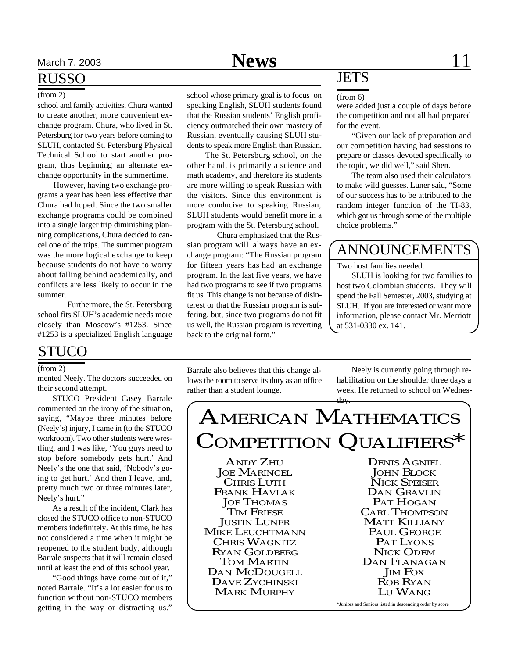## RUSSO

## (from 2)

school and family activities, Chura wanted to create another, more convenient exchange program. Chura, who lived in St. Petersburg for two years before coming to SLUH, contacted St. Petersburg Physical Technical School to start another program, thus beginning an alternate exchange opportunity in the summertime.

 However, having two exchange programs a year has been less effective than Chura had hoped. Since the two smaller exchange programs could be combined into a single larger trip diminishing planning complications, Chura decided to cancel one of the trips. The summer program was the more logical exchange to keep because students do not have to worry about falling behind academically, and conflicts are less likely to occur in the summer.

Furthermore, the St. Petersburg school fits SLUH's academic needs more closely than Moscow's #1253. Since #1253 is a specialized English language

## STUCO

### (from 2)

mented Neely. The doctors succeeded on their second attempt.

STUCO President Casey Barrale commented on the irony of the situation, saying, "Maybe three minutes before (Neely's) injury, I came in (to the STUCO workroom). Two other students were wrestling, and I was like, 'You guys need to stop before somebody gets hurt.' And Neely's the one that said, 'Nobody's going to get hurt.' And then I leave, and, pretty much two or three minutes later, Neely's hurt."

As a result of the incident, Clark has closed the STUCO office to non-STUCO members indefinitely. At this time, he has not considered a time when it might be reopened to the student body, although Barrale suspects that it will remain closed until at least the end of this school year.

"Good things have come out of it," noted Barrale. "It's a lot easier for us to function without non-STUCO members getting in the way or distracting us."

speaking English, SLUH students found that the Russian students' English proficiency outmatched their own mastery of Russian, eventually causing SLUH students to speak more English than Russian.

 The St. Petersburg school, on the other hand, is primarily a science and math academy, and therefore its students are more willing to speak Russian with the visitors. Since this environment is more conducive to speaking Russian, SLUH students would benefit more in a program with the St. Petersburg school.

Chura emphasized that the Russian program will always have an exchange program: "The Russian program for fifteen years has had an exchange program. In the last five years, we have had two programs to see if two programs fit us. This change is not because of disinterest or that the Russian program is suffering, but, since two programs do not fit us well, the Russian program is reverting back to the original form."

## **JETS**

were added just a couple of days before the competition and not all had prepared for the event.

"Given our lack of preparation and our competition having had sessions to prepare or classes devoted specifically to the topic, we did well," said Shen.

The team also used their calculators to make wild guesses. Luner said, "Some of our success has to be attributed to the random integer function of the TI-83, which got us through some of the multiple choice problems."

## ANNOUNCEMENTS

Two host families needed.

SLUH is looking for two families to host two Colombian students. They will spend the Fall Semester, 2003, studying at SLUH. If you are interested or want more information, please contact Mr. Merriott at 531-0330 ex. 141.

Barrale also believes that this change allows the room to serve its duty as an office rather than a student lounge.

Neely is currently going through rehabilitation on the shoulder three days a week. He returned to school on Wednesday.

# AMERICAN MATHEMATICS COMPETITION QUALIFIERS\*

ANDY ZHU JOE MARINCEL CHRIS LUTH FRANK HAVLAK **JOE THOMAS** TIM FRIESE JUSTIN LUNER MIKE LEUCHTMANN CHRIS WAGNITZ RYAN GOLDBERG TOM MARTIN DAN MCDOUGELL DAVE ZYCHINSKI MARK MURPHY

DENIS AGNIEL JOHN BLOCK NICK SPEISER DAN GRAVLIN PAT HOGAN CARL THOMPSON MATT KILLIANY PAUL GEORGE PAT LYONS NICK ODEM DAN FLANAGAN **JIM FOX** ROB RYAN LU WANG

\*Juniors and Seniors listed in descending order by score